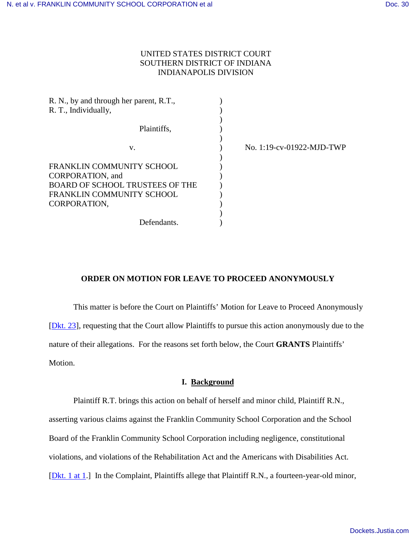# UNITED STATES DISTRICT COURT SOUTHERN DISTRICT OF INDIANA INDIANAPOLIS DIVISION

| R. N., by and through her parent, R.T., |                           |
|-----------------------------------------|---------------------------|
| R. T., Individually,                    |                           |
|                                         |                           |
| Plaintiffs,                             |                           |
|                                         |                           |
| v.                                      | No. 1:19-cv-01922-MJD-TWP |
|                                         |                           |
| FRANKLIN COMMUNITY SCHOOL               |                           |
| CORPORATION, and                        |                           |
| <b>BOARD OF SCHOOL TRUSTEES OF THE</b>  |                           |
| <b>FRANKLIN COMMUNITY SCHOOL</b>        |                           |
| CORPORATION,                            |                           |
|                                         |                           |
| Defendants.                             |                           |

# **ORDER ON MOTION FOR LEAVE TO PROCEED ANONYMOUSLY**

This matter is before the Court on Plaintiffs' Motion for Leave to Proceed Anonymously [\[Dkt. 23\]](https://ecf.insd.uscourts.gov/doc1/07317442735), requesting that the Court allow Plaintiffs to pursue this action anonymously due to the nature of their allegations. For the reasons set forth below, the Court **GRANTS** Plaintiffs' Motion.

## **I. Background**

Plaintiff R.T. brings this action on behalf of herself and minor child, Plaintiff R.N., asserting various claims against the Franklin Community School Corporation and the School Board of the Franklin Community School Corporation including negligence, constitutional violations, and violations of the Rehabilitation Act and the Americans with Disabilities Act. [\[Dkt. 1 at 1.](https://ecf.insd.uscourts.gov/doc1/07317251822?page=1)] In the Complaint, Plaintiffs allege that Plaintiff R.N., a fourteen-year-old minor,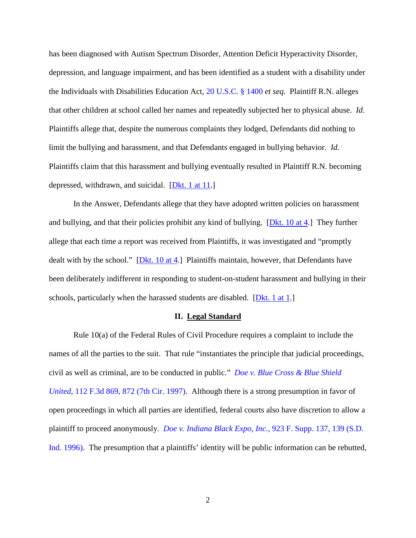has been diagnosed with Autism Spectrum Disorder, Attention Deficit Hyperactivity Disorder, depression, and language impairment, and has been identified as a student with a disability under the Individuals with Disabilities Education Act, [20 U.S.C. § 1400](https://www.westlaw.com/Document/N00DF73D0DC9B11DF868FD4ABBFB7B041/View/FullText.html?transitionType=Default&contextData=(sc.Default)&VR=3.0&RS=da3.0) *et seq.* Plaintiff R.N. alleges that other children at school called her names and repeatedly subjected her to physical abuse. *Id*. Plaintiffs allege that, despite the numerous complaints they lodged, Defendants did nothing to limit the bullying and harassment, and that Defendants engaged in bullying behavior. *Id*. Plaintiffs claim that this harassment and bullying eventually resulted in Plaintiff R.N. becoming depressed, withdrawn, and suicidal. [\[Dkt. 1 at 11.](https://ecf.insd.uscourts.gov/doc1/07317251822?page=11)]

In the Answer, Defendants allege that they have adopted written policies on harassment and bullying, and that their policies prohibit any kind of bullying. [\[Dkt. 10 at 4.](https://ecf.insd.uscourts.gov/doc1/07317358770?page=4)] They further allege that each time a report was received from Plaintiffs, it was investigated and "promptly dealt with by the school." [\[Dkt. 10 at 4.](https://ecf.insd.uscourts.gov/doc1/07317358770?page=4)] Plaintiffs maintain, however, that Defendants have been deliberately indifferent in responding to student-on-student harassment and bullying in their schools, particularly when the harassed students are disabled. [\[Dkt. 1 at 1.](https://ecf.insd.uscourts.gov/doc1/07317251822?page=1)]

#### **II. Legal Standard**

Rule 10(a) of the Federal Rules of Civil Procedure requires a complaint to include the names of all the parties to the suit. That rule "instantiates the principle that judicial proceedings, civil as well as criminal, are to be conducted in public." *[Doe v. Blue Cross & Blue Shield](https://www.westlaw.com/Document/I0c599469941d11d9bdd1cfdd544ca3a4/View/FullText.html?transitionType=Default&contextData=(sc.Default)&VR=3.0&RS=da3.0&fragmentIdentifier=co_pp_sp_506_872)  United*[, 112 F.3d 869, 872 \(7th Cir. 1997\).](https://www.westlaw.com/Document/I0c599469941d11d9bdd1cfdd544ca3a4/View/FullText.html?transitionType=Default&contextData=(sc.Default)&VR=3.0&RS=da3.0&fragmentIdentifier=co_pp_sp_506_872) Although there is a strong presumption in favor of open proceedings in which all parties are identified, federal courts also have discretion to allow a plaintiff to proceed anonymously. *[Doe v. Indiana Black Expo, Inc.](https://www.westlaw.com/Document/If4b523da564e11d9a99c85a9e6023ffa/View/FullText.html?transitionType=Default&contextData=(sc.Default)&VR=3.0&RS=da3.0&fragmentIdentifier=co_pp_sp_345_139)*, 923 F. Supp. 137, 139 (S.D. [Ind. 1996\).](https://www.westlaw.com/Document/If4b523da564e11d9a99c85a9e6023ffa/View/FullText.html?transitionType=Default&contextData=(sc.Default)&VR=3.0&RS=da3.0&fragmentIdentifier=co_pp_sp_345_139) The presumption that a plaintiffs' identity will be public information can be rebutted,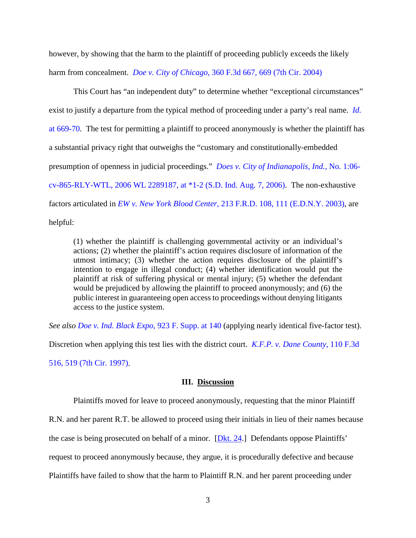however, by showing that the harm to the plaintiff of proceeding publicly exceeds the likely harm from concealment. *Doe v. City of Chicago*[, 360 F.3d 667, 669 \(7th Cir. 2004\)](https://www.westlaw.com/Document/I6aef9e4589fd11d9ac45f46c5ea084a3/View/FullText.html?transitionType=Default&contextData=(sc.Default)&VR=3.0&RS=da3.0&fragmentIdentifier=co_pp_sp_506_669)

This Court has "an independent duty" to determine whether "exceptional circumstances" exist to justify a departure from the typical method of proceeding under a party's real name. *[Id.](https://www.westlaw.com/Document/I6aef9e4589fd11d9ac45f46c5ea084a3/View/FullText.html?transitionType=Default&contextData=(sc.Default)&VR=3.0&RS=da3.0&fragmentIdentifier=co_pp_sp_506_669)* [at 669-70.](https://www.westlaw.com/Document/I6aef9e4589fd11d9ac45f46c5ea084a3/View/FullText.html?transitionType=Default&contextData=(sc.Default)&VR=3.0&RS=da3.0&fragmentIdentifier=co_pp_sp_506_669) The test for permitting a plaintiff to proceed anonymously is whether the plaintiff has a substantial privacy right that outweighs the "customary and constitutionally-embedded presumption of openness in judicial proceedings." *[Does v. City of Indianapolis, Ind.](https://www.westlaw.com/Document/Icceb1397285911db80c2e56cac103088/View/FullText.html?transitionType=Default&contextData=(sc.Default)&VR=3.0&RS=da3.0&fragmentIdentifier=co_pp_sp_999_1)*, No. 1:06 [cv-865-RLY-WTL, 2006 WL 2289187, at \\*1-2 \(S.D. Ind. Aug. 7, 2006\).](https://www.westlaw.com/Document/Icceb1397285911db80c2e56cac103088/View/FullText.html?transitionType=Default&contextData=(sc.Default)&VR=3.0&RS=da3.0&fragmentIdentifier=co_pp_sp_999_1) The non-exhaustive factors articulated in *EW v. New York Blood Center,* [213 F.R.D. 108, 111 \(E.D.N.Y. 2003\),](https://www.westlaw.com/Document/I20ee22b4540411d9b17ee4cdc604a702/View/FullText.html?transitionType=Default&contextData=(sc.Default)&VR=3.0&RS=da3.0&fragmentIdentifier=co_pp_sp_344_111) are helpful:

(1) whether the plaintiff is challenging governmental activity or an individual's actions; (2) whether the plaintiff's action requires disclosure of information of the utmost intimacy; (3) whether the action requires disclosure of the plaintiff's intention to engage in illegal conduct; (4) whether identification would put the plaintiff at risk of suffering physical or mental injury; (5) whether the defendant would be prejudiced by allowing the plaintiff to proceed anonymously; and (6) the public interest in guaranteeing open access to proceedings without denying litigants access to the justice system.

*See also [Doe v. Ind. Black Expo](https://www.westlaw.com/Document/If4b523da564e11d9a99c85a9e6023ffa/View/FullText.html?transitionType=Default&contextData=(sc.Default)&VR=3.0&RS=da3.0&fragmentIdentifier=co_pp_sp_345_140)*, 923 F. Supp. at 140 (applying nearly identical five-factor test).

Discretion when applying this test lies with the district court. *[K.F.P. v. Dane County](https://www.westlaw.com/Document/I1e2c75e4941311d9bdd1cfdd544ca3a4/View/FullText.html?transitionType=Default&contextData=(sc.Default)&VR=3.0&RS=da3.0&fragmentIdentifier=co_pp_sp_506_519)*, 110 F.3d

[516, 519 \(7th Cir. 1997\).](https://www.westlaw.com/Document/I1e2c75e4941311d9bdd1cfdd544ca3a4/View/FullText.html?transitionType=Default&contextData=(sc.Default)&VR=3.0&RS=da3.0&fragmentIdentifier=co_pp_sp_506_519)

### **III. Discussion**

Plaintiffs moved for leave to proceed anonymously, requesting that the minor Plaintiff R.N. and her parent R.T. be allowed to proceed using their initials in lieu of their names because the case is being prosecuted on behalf of a minor. [\[Dkt. 24.](https://ecf.insd.uscourts.gov/doc1/07317442757)] Defendants oppose Plaintiffs' request to proceed anonymously because, they argue, it is procedurally defective and because Plaintiffs have failed to show that the harm to Plaintiff R.N. and her parent proceeding under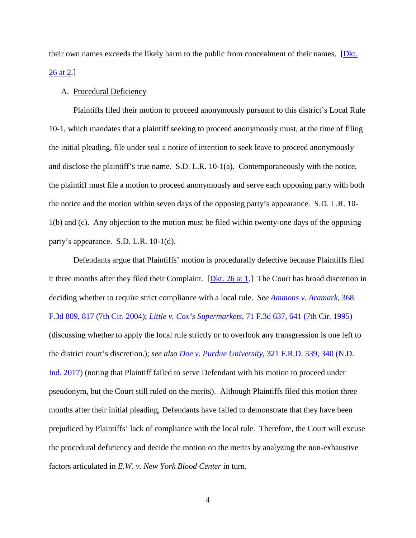their own names exceeds the likely harm to the public from concealment of their names. [Dkt.] [26 at 2.](https://ecf.insd.uscourts.gov/doc1/07317450219?page=2)]

## A. Procedural Deficiency

Plaintiffs filed their motion to proceed anonymously pursuant to this district's Local Rule 10-1, which mandates that a plaintiff seeking to proceed anonymously must, at the time of filing the initial pleading, file under seal a notice of intention to seek leave to proceed anonymously and disclose the plaintiff's true name. S.D. L.R. 10-1(a). Contemporaneously with the notice, the plaintiff must file a motion to proceed anonymously and serve each opposing party with both the notice and the motion within seven days of the opposing party's appearance. S.D. L.R. 10- 1(b) and (c). Any objection to the motion must be filed within twenty-one days of the opposing party's appearance. S.D. L.R. 10-1(d).

Defendants argue that Plaintiffs' motion is procedurally defective because Plaintiffs filed it three months after they filed their Complaint. [\[Dkt. 26 at 1.](https://ecf.insd.uscourts.gov/doc1/07317450219?page=1)] The Court has broad discretion in deciding whether to require strict compliance with a local rule. *See [Ammons v. Aramark](https://www.westlaw.com/Document/I38140a488a0411d9903eeb4634b8d78e/View/FullText.html?transitionType=Default&contextData=(sc.Default)&VR=3.0&RS=da3.0&fragmentIdentifier=co_pp_sp_506_817)*, 368 [F.3d 809, 817 \(7th Cir. 2004\);](https://www.westlaw.com/Document/I38140a488a0411d9903eeb4634b8d78e/View/FullText.html?transitionType=Default&contextData=(sc.Default)&VR=3.0&RS=da3.0&fragmentIdentifier=co_pp_sp_506_817) *Little v. Cox's Supermarkets*[, 71 F.3d 637, 641 \(7th Cir. 1995\)](https://www.westlaw.com/Document/I547e64c091c311d993e6d35cc61aab4a/View/FullText.html?transitionType=Default&contextData=(sc.Default)&VR=3.0&RS=da3.0&fragmentIdentifier=co_pp_sp_506_641) (discussing whether to apply the local rule strictly or to overlook any transgression is one left to the district court's discretion.); *see also Doe v. Purdue University*[, 321 F.R.D. 339, 340 \(N.D.](https://www.westlaw.com/Document/I70c81280466911e7a6b0f3e4b1d2c082/View/FullText.html?transitionType=Default&contextData=(sc.Default)&VR=3.0&RS=da3.0&fragmentIdentifier=co_pp_sp_344_340)  [Ind. 2017\)](https://www.westlaw.com/Document/I70c81280466911e7a6b0f3e4b1d2c082/View/FullText.html?transitionType=Default&contextData=(sc.Default)&VR=3.0&RS=da3.0&fragmentIdentifier=co_pp_sp_344_340) (noting that Plaintiff failed to serve Defendant with his motion to proceed under pseudonym, but the Court still ruled on the merits). Although Plaintiffs filed this motion three months after their initial pleading, Defendants have failed to demonstrate that they have been prejudiced by Plaintiffs' lack of compliance with the local rule. Therefore, the Court will excuse the procedural deficiency and decide the motion on the merits by analyzing the non-exhaustive factors articulated in *E.W. v. New York Blood Center* in turn.

4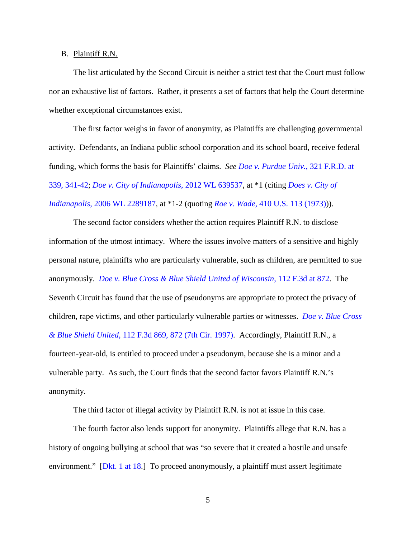#### B. Plaintiff R.N.

The list articulated by the Second Circuit is neither a strict test that the Court must follow nor an exhaustive list of factors. Rather, it presents a set of factors that help the Court determine whether exceptional circumstances exist.

The first factor weighs in favor of anonymity, as Plaintiffs are challenging governmental activity. Defendants, an Indiana public school corporation and its school board, receive federal funding, which forms the basis for Plaintiffs' claims. *See [Doe v. Purdue Univ.](https://www.westlaw.com/Document/I70c81280466911e7a6b0f3e4b1d2c082/View/FullText.html?transitionType=Default&contextData=(sc.Default)&VR=3.0&RS=da3.0&fragmentIdentifier=co_pp_sp_344_339%2c+341)*, 321 F.R.D. at [339, 341-42;](https://www.westlaw.com/Document/I70c81280466911e7a6b0f3e4b1d2c082/View/FullText.html?transitionType=Default&contextData=(sc.Default)&VR=3.0&RS=da3.0&fragmentIdentifier=co_pp_sp_344_339%2c+341) *[Doe v. City of Indianapolis](https://www.westlaw.com/Document/I2e3c4086631111e1ac60ad556f635d49/View/FullText.html?transitionType=Default&contextData=(sc.Default)&VR=3.0&RS=da3.0)*, 2012 WL 639537, at \*1 (citing *[Does v. City of](https://www.westlaw.com/Document/Icceb1397285911db80c2e56cac103088/View/FullText.html?transitionType=Default&contextData=(sc.Default)&VR=3.0&RS=da3.0)  Indianapolis*[, 2006 WL 2289187,](https://www.westlaw.com/Document/Icceb1397285911db80c2e56cac103088/View/FullText.html?transitionType=Default&contextData=(sc.Default)&VR=3.0&RS=da3.0) at \*1-2 (quoting *Roe v. Wade*[, 410 U.S. 113 \(1973\)\)](https://www.westlaw.com/Document/I32a9810a9c2611d993e6d35cc61aab4a/View/FullText.html?transitionType=Default&contextData=(sc.Default)&VR=3.0&RS=da3.0)).

The second factor considers whether the action requires Plaintiff R.N. to disclose information of the utmost intimacy. Where the issues involve matters of a sensitive and highly personal nature, plaintiffs who are particularly vulnerable, such as children, are permitted to sue anonymously. *[Doe v. Blue Cross & Blue Shield United of Wisconsin](https://www.westlaw.com/Document/I0c599469941d11d9bdd1cfdd544ca3a4/View/FullText.html?transitionType=Default&contextData=(sc.Default)&VR=3.0&RS=da3.0&fragmentIdentifier=co_pp_sp_506_872)*, 112 F.3d at 872. The Seventh Circuit has found that the use of pseudonyms are appropriate to protect the privacy of children, rape victims, and other particularly vulnerable parties or witnesses. *[Doe v. Blue Cross](https://www.westlaw.com/Document/I0c599469941d11d9bdd1cfdd544ca3a4/View/FullText.html?transitionType=Default&contextData=(sc.Default)&VR=3.0&RS=da3.0&fragmentIdentifier=co_pp_sp_506_872)  & Blue Shield United*[, 112 F.3d 869, 872 \(7th Cir. 1997\).](https://www.westlaw.com/Document/I0c599469941d11d9bdd1cfdd544ca3a4/View/FullText.html?transitionType=Default&contextData=(sc.Default)&VR=3.0&RS=da3.0&fragmentIdentifier=co_pp_sp_506_872) Accordingly, Plaintiff R.N., a fourteen-year-old, is entitled to proceed under a pseudonym, because she is a minor and a vulnerable party. As such, the Court finds that the second factor favors Plaintiff R.N.'s anonymity.

The third factor of illegal activity by Plaintiff R.N. is not at issue in this case.

The fourth factor also lends support for anonymity. Plaintiffs allege that R.N. has a history of ongoing bullying at school that was "so severe that it created a hostile and unsafe environment." [\[Dkt. 1 at 18.](https://ecf.insd.uscourts.gov/doc1/07317251822?page=18)] To proceed anonymously, a plaintiff must assert legitimate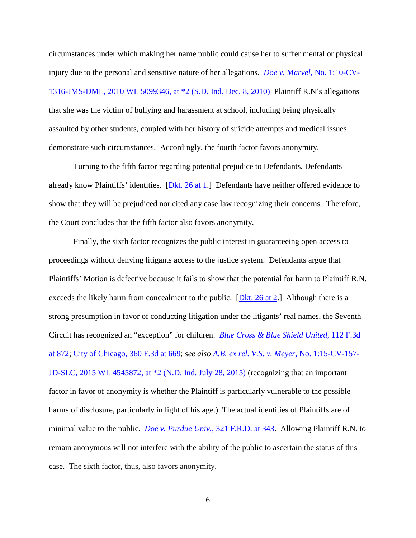circumstances under which making her name public could cause her to suffer mental or physical injury due to the personal and sensitive nature of her allegations. *Doe v. Marvel*[, No. 1:10-CV-](https://www.westlaw.com/Document/Ib9f6869508bc11e0852cd4369a8093f1/View/FullText.html?transitionType=Default&contextData=(sc.Default)&VR=3.0&RS=da3.0&fragmentIdentifier=co_pp_sp_999_2)[1316-JMS-DML, 2010 WL 5099346, at \\*2 \(S.D. Ind. Dec. 8, 2010\)](https://www.westlaw.com/Document/Ib9f6869508bc11e0852cd4369a8093f1/View/FullText.html?transitionType=Default&contextData=(sc.Default)&VR=3.0&RS=da3.0&fragmentIdentifier=co_pp_sp_999_2) Plaintiff R.N's allegations that she was the victim of bullying and harassment at school, including being physically assaulted by other students, coupled with her history of suicide attempts and medical issues demonstrate such circumstances. Accordingly, the fourth factor favors anonymity.

Turning to the fifth factor regarding potential prejudice to Defendants, Defendants already know Plaintiffs' identities. [\[Dkt. 26 at 1.](https://ecf.insd.uscourts.gov/doc1/07317450219?page=1)] Defendants have neither offered evidence to show that they will be prejudiced nor cited any case law recognizing their concerns. Therefore, the Court concludes that the fifth factor also favors anonymity.

Finally, the sixth factor recognizes the public interest in guaranteeing open access to proceedings without denying litigants access to the justice system. Defendants argue that Plaintiffs' Motion is defective because it fails to show that the potential for harm to Plaintiff R.N. exceeds the likely harm from concealment to the public. [\[Dkt. 26 at 2.](https://ecf.insd.uscourts.gov/doc1/07317450219?page=2)] Although there is a strong presumption in favor of conducting litigation under the litigants' real names, the Seventh Circuit has recognized an "exception" for children. *[Blue Cross & Blue Shield United](https://www.westlaw.com/Document/I0c599469941d11d9bdd1cfdd544ca3a4/View/FullText.html?transitionType=Default&contextData=(sc.Default)&VR=3.0&RS=da3.0&fragmentIdentifier=co_pp_sp_506_872)*, 112 F.3d [at 872;](https://www.westlaw.com/Document/I0c599469941d11d9bdd1cfdd544ca3a4/View/FullText.html?transitionType=Default&contextData=(sc.Default)&VR=3.0&RS=da3.0&fragmentIdentifier=co_pp_sp_506_872) [City of Chicago, 360 F.3d at 669;](https://www.westlaw.com/Document/I6aef9e4589fd11d9ac45f46c5ea084a3/View/FullText.html?transitionType=Default&contextData=(sc.Default)&VR=3.0&RS=da3.0&fragmentIdentifier=co_pp_sp_506_669) *see also [A.B. ex rel. V.S. v. Meyer](https://www.westlaw.com/Document/Ic51f56f235eb11e5b4bafa136b480ad2/View/FullText.html?transitionType=Default&contextData=(sc.Default)&VR=3.0&RS=da3.0&fragmentIdentifier=co_pp_sp_999_2)*, No. 1:15-CV-157- [JD-SLC, 2015 WL 4545872, at \\*2 \(N.D. Ind. July 28, 2015\)](https://www.westlaw.com/Document/Ic51f56f235eb11e5b4bafa136b480ad2/View/FullText.html?transitionType=Default&contextData=(sc.Default)&VR=3.0&RS=da3.0&fragmentIdentifier=co_pp_sp_999_2) (recognizing that an important factor in favor of anonymity is whether the Plaintiff is particularly vulnerable to the possible harms of disclosure, particularly in light of his age.) The actual identities of Plaintiffs are of minimal value to the public. *[Doe v. Purdue Univ.](https://www.westlaw.com/Document/I70c81280466911e7a6b0f3e4b1d2c082/View/FullText.html?transitionType=Default&contextData=(sc.Default)&VR=3.0&RS=da3.0&fragmentIdentifier=co_pp_sp_344_343)*, 321 F.R.D. at 343. Allowing Plaintiff R.N. to remain anonymous will not interfere with the ability of the public to ascertain the status of this case. The sixth factor, thus, also favors anonymity.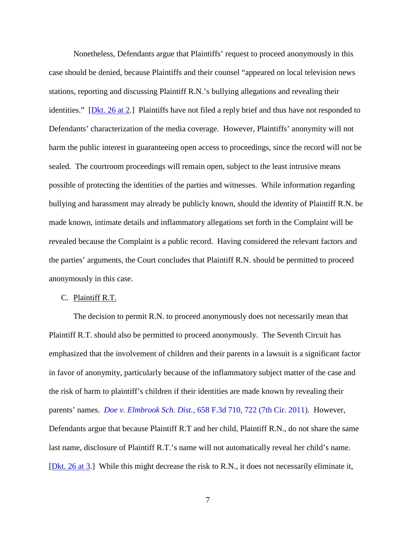Nonetheless, Defendants argue that Plaintiffs' request to proceed anonymously in this case should be denied, because Plaintiffs and their counsel "appeared on local television news stations, reporting and discussing Plaintiff R.N.'s bullying allegations and revealing their identities." [\[Dkt. 26 at 2.](https://ecf.insd.uscourts.gov/doc1/07317450219?page=2)] Plaintiffs have not filed a reply brief and thus have not responded to Defendants' characterization of the media coverage. However, Plaintiffs' anonymity will not harm the public interest in guaranteeing open access to proceedings, since the record will not be sealed. The courtroom proceedings will remain open, subject to the least intrusive means possible of protecting the identities of the parties and witnesses. While information regarding bullying and harassment may already be publicly known, should the identity of Plaintiff R.N. be made known, intimate details and inflammatory allegations set forth in the Complaint will be revealed because the Complaint is a public record. Having considered the relevant factors and the parties' arguments, the Court concludes that Plaintiff R.N. should be permitted to proceed anonymously in this case.

### C. Plaintiff R.T.

The decision to permit R.N. to proceed anonymously does not necessarily mean that Plaintiff R.T. should also be permitted to proceed anonymously. The Seventh Circuit has emphasized that the involvement of children and their parents in a lawsuit is a significant factor in favor of anonymity, particularly because of the inflammatory subject matter of the case and the risk of harm to plaintiff's children if their identities are made known by revealing their parents' names. *Doe v. Elmbrook Sch. Dist.*[, 658 F.3d 710, 722 \(7th Cir. 2011\).](https://www.westlaw.com/Document/Idb1c1220dd3511e0a9e5bdc02ef2b18e/View/FullText.html?transitionType=Default&contextData=(sc.Default)&VR=3.0&RS=da3.0&fragmentIdentifier=co_pp_sp_506_722) However, Defendants argue that because Plaintiff R.T and her child, Plaintiff R.N., do not share the same last name, disclosure of Plaintiff R.T.'s name will not automatically reveal her child's name. [\[Dkt. 26 at 3.](https://ecf.insd.uscourts.gov/doc1/07317450219?page=3)] While this might decrease the risk to R.N., it does not necessarily eliminate it,

7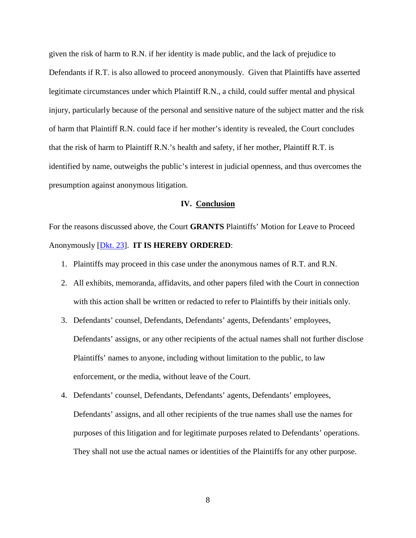given the risk of harm to R.N. if her identity is made public, and the lack of prejudice to Defendants if R.T. is also allowed to proceed anonymously. Given that Plaintiffs have asserted legitimate circumstances under which Plaintiff R.N., a child, could suffer mental and physical injury, particularly because of the personal and sensitive nature of the subject matter and the risk of harm that Plaintiff R.N. could face if her mother's identity is revealed, the Court concludes that the risk of harm to Plaintiff R.N.'s health and safety, if her mother, Plaintiff R.T. is identified by name, outweighs the public's interest in judicial openness, and thus overcomes the presumption against anonymous litigation.

### **IV. Conclusion**

For the reasons discussed above, the Court **GRANTS** Plaintiffs' Motion for Leave to Proceed Anonymously [\[Dkt. 23\]](https://ecf.insd.uscourts.gov/doc1/07317442735). **IT IS HEREBY ORDERED**:

- 1. Plaintiffs may proceed in this case under the anonymous names of R.T. and R.N.
- 2. All exhibits, memoranda, affidavits, and other papers filed with the Court in connection with this action shall be written or redacted to refer to Plaintiffs by their initials only.
- 3. Defendants' counsel, Defendants, Defendants' agents, Defendants' employees, Defendants' assigns, or any other recipients of the actual names shall not further disclose Plaintiffs' names to anyone, including without limitation to the public, to law enforcement, or the media, without leave of the Court.
- 4. Defendants' counsel, Defendants, Defendants' agents, Defendants' employees, Defendants' assigns, and all other recipients of the true names shall use the names for purposes of this litigation and for legitimate purposes related to Defendants' operations. They shall not use the actual names or identities of the Plaintiffs for any other purpose.